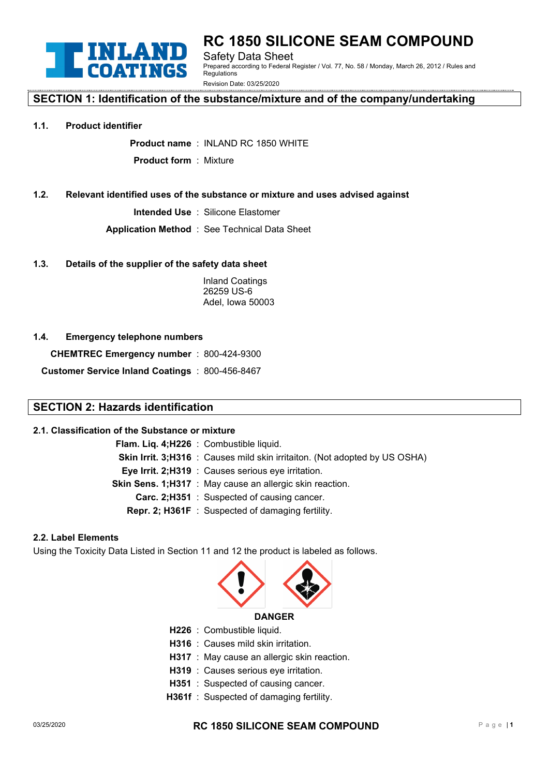

# **RC 1850 SILICONE SEAM COMPOUND** Safety Data Sheet

Prepared according to Federal Register / Vol. 77, No. 58 / Monday, March 26, 2012 / Rules and **Regulations** 

Revision Date: 03/25/2020

# **SECTION 1: Identification of the substance/mixture and of the company/undertaking**

#### **1.1. Product identifier**

**Product name** : INLAND RC 1850 WHITE

**Product form** : Mixture

#### **1.2. Relevant identified uses of the substance or mixture and uses advised against**

**Intended Use** : Silicone Elastomer

**Application Method** : See Technical Data Sheet

#### **1.3. Details of the supplier of the safety data sheet**

Inland Coatings 26259 US-6 Adel, Iowa 50003

#### **1.4. Emergency telephone numbers**

**CHEMTREC Emergency number** : 800-424-9300

**Customer Service Inland Coatings** : 800-456-8467

# **SECTION 2: Hazards identification**

#### **2.1. Classification of the Substance or mixture**

| Flam. Liq. 4; H226 : Combustible liquid.                                          |
|-----------------------------------------------------------------------------------|
| <b>Skin Irrit. 3;H316</b> : Causes mild skin irritaiton. (Not adopted by US OSHA) |
| Eye Irrit. 2;H319 : Causes serious eye irritation.                                |
| <b>Skin Sens. 1;H317</b> : May cause an allergic skin reaction.                   |
| <b>Carc. 2:H351</b> : Suspected of causing cancer.                                |
| <b>Repr. 2; H361F</b> : Suspected of damaging fertility.                          |
|                                                                                   |

#### **2.2. Label Elements**

Using the Toxicity Data Listed in Section 11 and 12 the product is labeled as follows.



- **H226** : Combustible liquid.
- **H316** : Causes mild skin irritation.
- **H317** : May cause an allergic skin reaction.
- **H319** : Causes serious eye irritation.
- **H351** : Suspected of causing cancer.
- **H361f** : Suspected of damaging fertility.

# 03/25/2020 **RC 1850 SILICONE SEAM COMPOUND** Pag <sup>e</sup> <sup>|</sup>**<sup>1</sup>**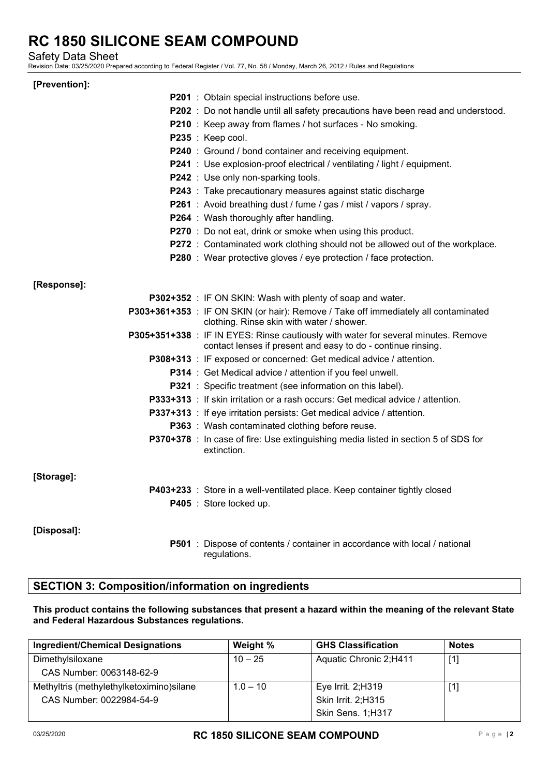Safety Data Sheet

Revision Date: 03/25/2020 Prepared according to Federal Register / Vol. 77, No. 58 / Monday, March 26, 2012 / Rules and Regulations

#### **[Prevention]:**

|             | <b>P201</b> : Obtain special instructions before use.<br>P202 : Do not handle until all safety precautions have been read and understood.<br>P210 : Keep away from flames / hot surfaces - No smoking.<br>P235 : Keep cool.<br><b>P240</b> : Ground / bond container and receiving equipment.<br>P241 : Use explosion-proof electrical / ventilating / light / equipment.<br>P242 : Use only non-sparking tools.<br>P243 : Take precautionary measures against static discharge<br>P261 : Avoid breathing dust / fume / gas / mist / vapors / spray.<br><b>P264</b> : Wash thoroughly after handling.<br><b>P270</b> : Do not eat, drink or smoke when using this product.<br>P272 : Contaminated work clothing should not be allowed out of the workplace. |
|-------------|-------------------------------------------------------------------------------------------------------------------------------------------------------------------------------------------------------------------------------------------------------------------------------------------------------------------------------------------------------------------------------------------------------------------------------------------------------------------------------------------------------------------------------------------------------------------------------------------------------------------------------------------------------------------------------------------------------------------------------------------------------------|
|             | <b>P280</b> : Wear protective gloves / eye protection / face protection.                                                                                                                                                                                                                                                                                                                                                                                                                                                                                                                                                                                                                                                                                    |
| [Response]: |                                                                                                                                                                                                                                                                                                                                                                                                                                                                                                                                                                                                                                                                                                                                                             |
|             | P302+352 : IF ON SKIN: Wash with plenty of soap and water.                                                                                                                                                                                                                                                                                                                                                                                                                                                                                                                                                                                                                                                                                                  |
|             | P303+361+353 : IF ON SKIN (or hair): Remove / Take off immediately all contaminated<br>clothing. Rinse skin with water / shower.                                                                                                                                                                                                                                                                                                                                                                                                                                                                                                                                                                                                                            |
|             | P305+351+338 : IF IN EYES: Rinse cautiously with water for several minutes. Remove<br>contact lenses if present and easy to do - continue rinsing.                                                                                                                                                                                                                                                                                                                                                                                                                                                                                                                                                                                                          |
|             | <b>P308+313</b> : IF exposed or concerned: Get medical advice / attention.                                                                                                                                                                                                                                                                                                                                                                                                                                                                                                                                                                                                                                                                                  |
|             | P314 : Get Medical advice / attention if you feel unwell.                                                                                                                                                                                                                                                                                                                                                                                                                                                                                                                                                                                                                                                                                                   |
|             | <b>P321</b> : Specific treatment (see information on this label).                                                                                                                                                                                                                                                                                                                                                                                                                                                                                                                                                                                                                                                                                           |
|             | <b>P333+313</b> : If skin irritation or a rash occurs: Get medical advice / attention.                                                                                                                                                                                                                                                                                                                                                                                                                                                                                                                                                                                                                                                                      |
|             | <b>P337+313</b> : If eye irritation persists: Get medical advice / attention.                                                                                                                                                                                                                                                                                                                                                                                                                                                                                                                                                                                                                                                                               |
|             | <b>P363</b> : Wash contaminated clothing before reuse.                                                                                                                                                                                                                                                                                                                                                                                                                                                                                                                                                                                                                                                                                                      |
|             | P370+378 : In case of fire: Use extinguishing media listed in section 5 of SDS for<br>extinction.                                                                                                                                                                                                                                                                                                                                                                                                                                                                                                                                                                                                                                                           |
| [Storage]:  |                                                                                                                                                                                                                                                                                                                                                                                                                                                                                                                                                                                                                                                                                                                                                             |
|             | P403+233 : Store in a well-ventilated place. Keep container tightly closed                                                                                                                                                                                                                                                                                                                                                                                                                                                                                                                                                                                                                                                                                  |
|             | P405 : Store locked up.                                                                                                                                                                                                                                                                                                                                                                                                                                                                                                                                                                                                                                                                                                                                     |
| [Disposal]: |                                                                                                                                                                                                                                                                                                                                                                                                                                                                                                                                                                                                                                                                                                                                                             |
|             | <b>P501</b> : Dispose of contents / container in accordance with local / national<br>regulations.                                                                                                                                                                                                                                                                                                                                                                                                                                                                                                                                                                                                                                                           |

# **SECTION 3: Composition/information on ingredients**

#### **This product contains the following substances that present a hazard within the meaning of the relevant State and Federal Hazardous Substances regulations.**

| <b>Ingredient/Chemical Designations</b>   | Weight %   | <b>GHS Classification</b> | <b>Notes</b>      |
|-------------------------------------------|------------|---------------------------|-------------------|
| Dimethylsiloxane                          | $10 - 25$  | Aquatic Chronic 2;H411    | $\lceil 1 \rceil$ |
| CAS Number: 0063148-62-9                  |            |                           |                   |
| Methyltris (methylethylketoximino) silane | $1.0 - 10$ | Eye Irrit. 2;H319         |                   |
| CAS Number: 0022984-54-9                  |            | Skin Irrit. 2;H315        |                   |
|                                           |            | Skin Sens. 1;H317         |                   |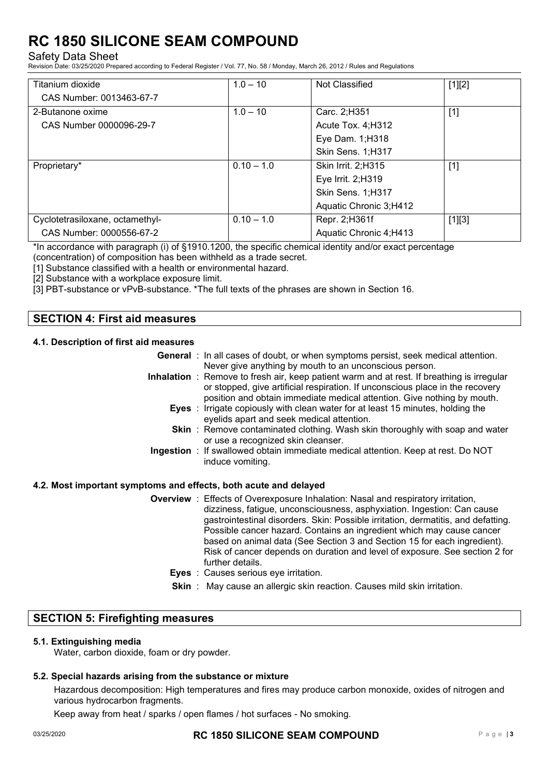#### Safety Data Sheet

Revision Date: 03/25/2020 Prepared according to Federal Register / Vol. 77, No. 58 / Monday, March 26, 2012 / Rules and Regulations

| Titanium dioxide                | $1.0 - 10$   | Not Classified         | $[1][2]$ |
|---------------------------------|--------------|------------------------|----------|
| CAS Number: 0013463-67-7        |              |                        |          |
| 2-Butanone oxime                | $1.0 - 10$   | Carc. 2;H351           | $[1]$    |
| CAS Number 0000096-29-7         |              | Acute Tox. 4; H312     |          |
|                                 |              | Eye Dam. 1; H318       |          |
|                                 |              | Skin Sens. 1;H317      |          |
| Proprietary*                    | $0.10 - 1.0$ | Skin Irrit. 2;H315     | $[1]$    |
|                                 |              | Eye Irrit. 2;H319      |          |
|                                 |              | Skin Sens. 1;H317      |          |
|                                 |              | Aquatic Chronic 3;H412 |          |
| Cyclotetrasiloxane, octamethyl- | $0.10 - 1.0$ | Repr. 2;H361f          | $[1][3]$ |
| CAS Number: 0000556-67-2        |              | Aquatic Chronic 4;H413 |          |

\*In accordance with paragraph (i) of §1910.1200, the specific chemical identity and/or exact percentage

(concentration) of composition has been withheld as a trade secret.

[1] Substance classified with a health or environmental hazard.

[2] Substance with a workplace exposure limit.

[3] PBT-substance or vPvB-substance. \*The full texts of the phrases are shown in Section 16.

# **SECTION 4: First aid measures**

#### **4.1. Description of first aid measures**

| <b>General</b> : In all cases of doubt, or when symptoms persist, seek medical attention.                                                                                                                                                              |
|--------------------------------------------------------------------------------------------------------------------------------------------------------------------------------------------------------------------------------------------------------|
| Never give anything by mouth to an unconscious person.                                                                                                                                                                                                 |
| Inhalation : Remove to fresh air, keep patient warm and at rest. If breathing is irregular<br>or stopped, give artificial respiration. If unconscious place in the recovery<br>position and obtain immediate medical attention. Give nothing by mouth. |
| <b>Eyes</b> : Irrigate copiously with clean water for at least 15 minutes, holding the<br>eyelids apart and seek medical attention.                                                                                                                    |
| <b>Skin</b> : Remove contaminated clothing. Wash skin thoroughly with soap and water<br>or use a recognized skin cleanser.                                                                                                                             |
| Ingestion : If swallowed obtain immediate medical attention. Keep at rest. Do NOT<br>induce vomiting.                                                                                                                                                  |

#### **4.2. Most important symptoms and effects, both acute and delayed**

- **Overview** : Effects of Overexposure Inhalation: Nasal and respiratory irritation, dizziness, fatigue, unconsciousness, asphyxiation. Ingestion: Can cause gastrointestinal disorders. Skin: Possible irritation, dermatitis, and defatting. Possible cancer hazard. Contains an ingredient which may cause cancer based on animal data (See Section 3 and Section 15 for each ingredient). Risk of cancer depends on duration and level of exposure. See section 2 for further details.
	- **Eyes** : Causes serious eye irritation.
	- **Skin** : May cause an allergic skin reaction. Causes mild skin irritation.

#### **SECTION 5: Firefighting measures**

#### **5.1. Extinguishing media**

Water, carbon dioxide, foam or dry powder.

#### **5.2. Special hazards arising from the substance or mixture**

Hazardous decomposition: High temperatures and fires may produce carbon monoxide, oxides of nitrogen and various hydrocarbon fragments.

Keep away from heat / sparks / open flames / hot surfaces - No smoking.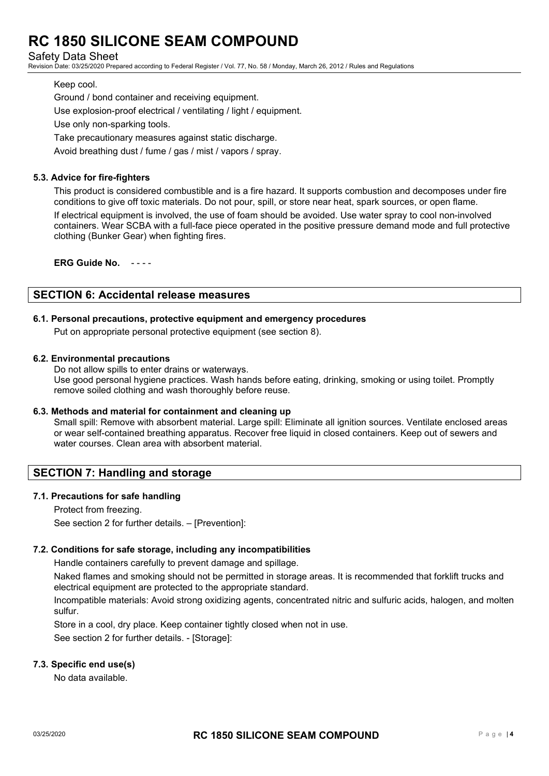Safety Data Sheet

Revision Date: 03/25/2020 Prepared according to Federal Register / Vol. 77, No. 58 / Monday, March 26, 2012 / Rules and Regulations

#### Keep cool.

Ground / bond container and receiving equipment. Use explosion-proof electrical / ventilating / light / equipment. Use only non-sparking tools. Take precautionary measures against static discharge. Avoid breathing dust / fume / gas / mist / vapors / spray.

#### **5.3. Advice for fire-fighters**

This product is considered combustible and is a fire hazard. It supports combustion and decomposes under fire conditions to give off toxic materials. Do not pour, spill, or store near heat, spark sources, or open flame. If electrical equipment is involved, the use of foam should be avoided. Use water spray to cool non-involved containers. Wear SCBA with a full-face piece operated in the positive pressure demand mode and full protective clothing (Bunker Gear) when fighting fires.

**ERG Guide No.** - - - -

### **SECTION 6: Accidental release measures**

#### **6.1. Personal precautions, protective equipment and emergency procedures**

Put on appropriate personal protective equipment (see section 8).

#### **6.2. Environmental precautions**

Do not allow spills to enter drains or waterways. Use good personal hygiene practices. Wash hands before eating, drinking, smoking or using toilet. Promptly remove soiled clothing and wash thoroughly before reuse.

#### **6.3. Methods and material for containment and cleaning up**

Small spill: Remove with absorbent material. Large spill: Eliminate all ignition sources. Ventilate enclosed areas or wear self-contained breathing apparatus. Recover free liquid in closed containers. Keep out of sewers and water courses. Clean area with absorbent material.

# **SECTION 7: Handling and storage**

#### **7.1. Precautions for safe handling**

Protect from freezing. See section 2 for further details. – [Prevention]:

#### **7.2. Conditions for safe storage, including any incompatibilities**

Handle containers carefully to prevent damage and spillage.

Naked flames and smoking should not be permitted in storage areas. It is recommended that forklift trucks and electrical equipment are protected to the appropriate standard.

Incompatible materials: Avoid strong oxidizing agents, concentrated nitric and sulfuric acids, halogen, and molten sulfur.

Store in a cool, dry place. Keep container tightly closed when not in use.

See section 2 for further details. - [Storage]:

#### **7.3. Specific end use(s)**

No data available.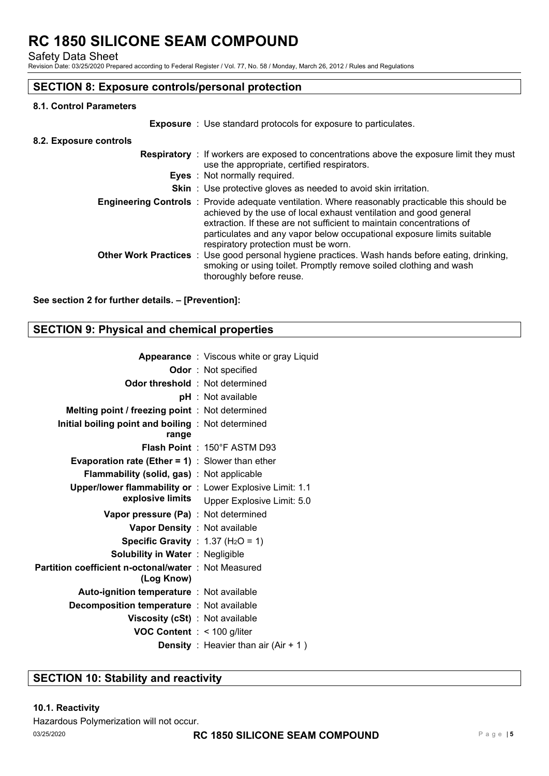Safety Data Sheet

Revision Date: 03/25/2020 Prepared according to Federal Register / Vol. 77, No. 58 / Monday, March 26, 2012 / Rules and Regulations

# **SECTION 8: Exposure controls/personal protection**

#### **8.1. Control Parameters**

**Exposure** : Use standard protocols for exposure to particulates.

#### **8.2. Exposure controls**

| <b>Respiratory</b> : If workers are exposed to concentrations above the exposure limit they must<br>use the appropriate, certified respirators.<br><b>Eyes</b> : Not normally required.                                                                                                                                                                                 |
|-------------------------------------------------------------------------------------------------------------------------------------------------------------------------------------------------------------------------------------------------------------------------------------------------------------------------------------------------------------------------|
| <b>Skin</b> : Use protective gloves as needed to avoid skin irritation.                                                                                                                                                                                                                                                                                                 |
| <b>Engineering Controls</b> : Provide adequate ventilation. Where reasonably practicable this should be<br>achieved by the use of local exhaust ventilation and good general<br>extraction. If these are not sufficient to maintain concentrations of<br>particulates and any vapor below occupational exposure limits suitable<br>respiratory protection must be worn. |
| <b>Other Work Practices</b> : Use good personal hygiene practices. Wash hands before eating, drinking,<br>smoking or using toilet. Promptly remove soiled clothing and wash<br>thoroughly before reuse.                                                                                                                                                                 |

#### **See section 2 for further details. – [Prevention]:**

# **SECTION 9: Physical and chemical properties**

|                                                          | <b>Appearance</b> : Viscous white or gray Liquid |
|----------------------------------------------------------|--------------------------------------------------|
|                                                          | <b>Odor</b> : Not specified                      |
| <b>Odor threshold</b> : Not determined                   |                                                  |
|                                                          | pH : Not available                               |
| <b>Melting point / freezing point : Not determined</b>   |                                                  |
| Initial boiling point and boiling : Not determined       |                                                  |
| range                                                    |                                                  |
|                                                          | Flash Point: 150°F ASTM D93                      |
| <b>Evaporation rate (Ether = 1)</b> : Slower than ether  |                                                  |
| <b>Flammability (solid, gas)</b> : Not applicable        |                                                  |
| Upper/lower flammability or : Lower Explosive Limit: 1.1 |                                                  |
|                                                          | explosive limits Upper Explosive Limit: 5.0      |
| Vapor pressure (Pa) : Not determined                     |                                                  |
| Vapor Density : Not available                            |                                                  |
| <b>Specific Gravity</b> : 1.37 ( $H_2O = 1$ )            |                                                  |
| <b>Solubility in Water: Negligible</b>                   |                                                  |
| Partition coefficient n-octonal/water: Not Measured      |                                                  |
| (Log Know)                                               |                                                  |
| <b>Auto-ignition temperature : Not available</b>         |                                                  |
| <b>Decomposition temperature : Not available</b>         |                                                  |
| <b>Viscosity (cSt)</b> : Not available                   |                                                  |
| <b>VOC Content</b> : < 100 g/liter                       |                                                  |
|                                                          | <b>Density</b> : Heavier than air $(Air + 1)$    |
|                                                          |                                                  |

# **SECTION 10: Stability and reactivity**

#### **10.1. Reactivity**

Hazardous Polymerization will not occur.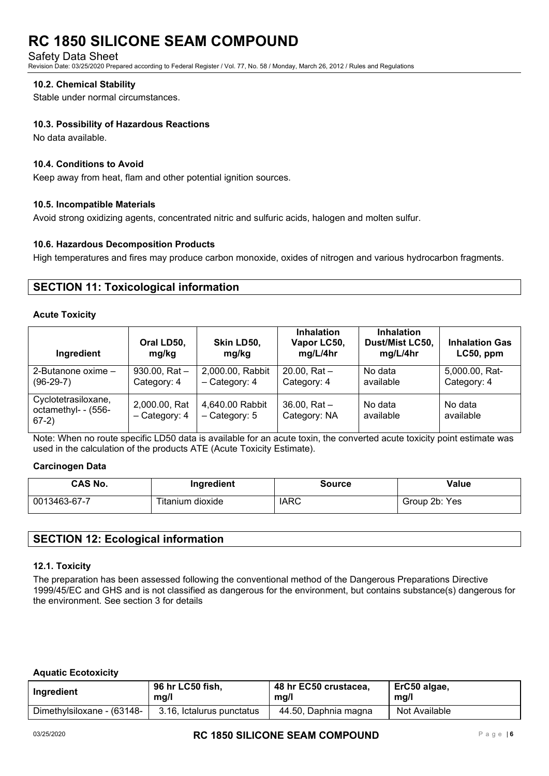Safety Data Sheet

Revision Date: 03/25/2020 Prepared according to Federal Register / Vol. 77, No. 58 / Monday, March 26, 2012 / Rules and Regulations

#### **10.2. Chemical Stability**

Stable under normal circumstances.

#### **10.3. Possibility of Hazardous Reactions**

No data available.

#### **10.4. Conditions to Avoid**

Keep away from heat, flam and other potential ignition sources.

#### **10.5. Incompatible Materials**

Avoid strong oxidizing agents, concentrated nitric and sulfuric acids, halogen and molten sulfur.

#### **10.6. Hazardous Decomposition Products**

High temperatures and fires may produce carbon monoxide, oxides of nitrogen and various hydrocarbon fragments.

### **SECTION 11: Toxicological information**

#### **Acute Toxicity**

| Ingredient                                            | Oral LD50,<br>mg/kg            | Skin LD50,<br>mg/kg               | <b>Inhalation</b><br>Vapor LC50,<br>mg/L/4hr | <b>Inhalation</b><br>Dust/Mist LC50,<br>mg/L/4hr | <b>Inhalation Gas</b><br>LC50, ppm |
|-------------------------------------------------------|--------------------------------|-----------------------------------|----------------------------------------------|--------------------------------------------------|------------------------------------|
| 2-Butanone oxime $-$<br>$(96-29-7)$                   | 930.00, Rat $-$<br>Category: 4 | 2,000.00, Rabbit<br>- Category: 4 | 20.00. $Rat -$<br>Category: 4                | No data<br>available                             | 5,000.00, Rat-<br>Category: 4      |
| Cyclotetrasiloxane,<br>octamethyl- - (556-<br>$67-2)$ | 2,000.00, Rat<br>- Category: 4 | 4,640.00 Rabbit<br>- Category: 5  | $36.00.$ Rat $-$<br>Category: NA             | No data<br>available                             | No data<br>available               |

Note: When no route specific LD50 data is available for an acute toxin, the converted acute toxicity point estimate was used in the calculation of the products ATE (Acute Toxicity Estimate).

#### **Carcinogen Data**

| <b>CAS No.</b> | Ingredient       | <b>Source</b> | <b>Value</b>  |
|----------------|------------------|---------------|---------------|
| 0013463-67-7   | Titanium dioxide | <b>IARC</b>   | Group 2b: Yes |

# **SECTION 12: Ecological information**

#### **12.1. Toxicity**

The preparation has been assessed following the conventional method of the Dangerous Preparations Directive 1999/45/EC and GHS and is not classified as dangerous for the environment, but contains substance(s) dangerous for the environment. See section 3 for details

#### **Aquatic Ecotoxicity**

| Ingredient                 | 96 hr LC50 fish,          | 48 hr EC50 crustacea, | ErC50 algae,  |
|----------------------------|---------------------------|-----------------------|---------------|
|                            | mq/l                      | mg/l                  | mg/l          |
| Dimethylsiloxane - (63148- | 3.16, Ictalurus punctatus | 44.50, Daphnia magna  | Not Available |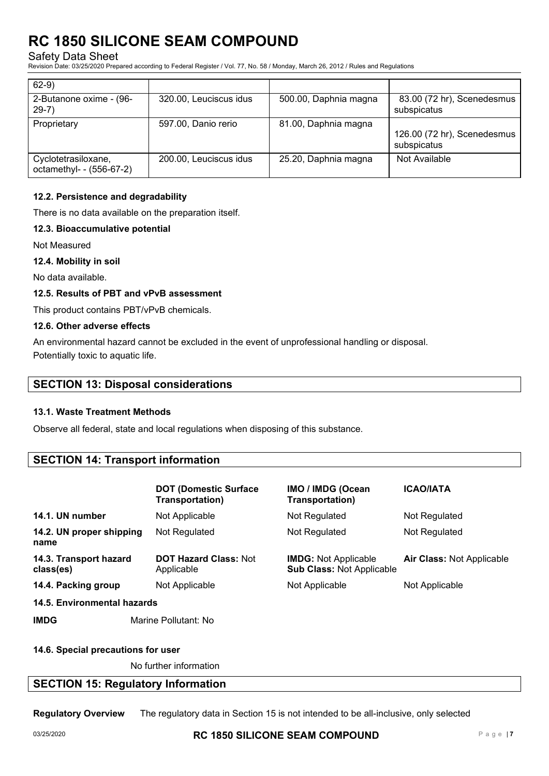Safety Data Sheet

Revision Date: 03/25/2020 Prepared according to Federal Register / Vol. 77, No. 58 / Monday, March 26, 2012 / Rules and Regulations

| $62-9)$                                         |                        |                       |                                            |
|-------------------------------------------------|------------------------|-----------------------|--------------------------------------------|
| 2-Butanone oxime - (96-<br>$29-7)$              | 320.00, Leuciscus idus | 500.00, Daphnia magna | 83.00 (72 hr), Scenedesmus<br>subspicatus  |
| Proprietary                                     | 597.00, Danio rerio    | 81.00, Daphnia magna  | 126.00 (72 hr), Scenedesmus<br>subspicatus |
| Cyclotetrasiloxane,<br>octamethyl- - (556-67-2) | 200.00, Leuciscus idus | 25.20, Daphnia magna  | Not Available                              |

### **12.2. Persistence and degradability**

There is no data available on the preparation itself.

#### **12.3. Bioaccumulative potential**

Not Measured

#### **12.4. Mobility in soil**

No data available.

#### **12.5. Results of PBT and vPvB assessment**

This product contains PBT/vPvB chemicals.

#### **12.6. Other adverse effects**

An environmental hazard cannot be excluded in the event of unprofessional handling or disposal. Potentially toxic to aquatic life.

### **SECTION 13: Disposal considerations**

#### **13.1. Waste Treatment Methods**

Observe all federal, state and local regulations when disposing of this substance.

# **SECTION 14: Transport information**

|                                     | <b>DOT (Domestic Surface</b><br>Transportation) | IMO / IMDG (Ocean<br>Transportation)                            | <b>ICAO/IATA</b>                 |
|-------------------------------------|-------------------------------------------------|-----------------------------------------------------------------|----------------------------------|
| 14.1. UN number                     | Not Applicable                                  | Not Regulated                                                   | Not Regulated                    |
| 14.2. UN proper shipping<br>name    | Not Regulated                                   | Not Regulated                                                   | Not Regulated                    |
| 14.3. Transport hazard<br>class(es) | <b>DOT Hazard Class: Not</b><br>Applicable      | <b>IMDG:</b> Not Applicable<br><b>Sub Class: Not Applicable</b> | <b>Air Class: Not Applicable</b> |
| 14.4. Packing group                 | Not Applicable                                  | Not Applicable                                                  | Not Applicable                   |
| 14.5. Environmental hazards         |                                                 |                                                                 |                                  |

**IMDG** Marine Pollutant: No

#### **14.6. Special precautions for user**

No further information

# **SECTION 15: Regulatory Information**

**Regulatory Overview** The regulatory data in Section 15 is not intended to be all-inclusive, only selected